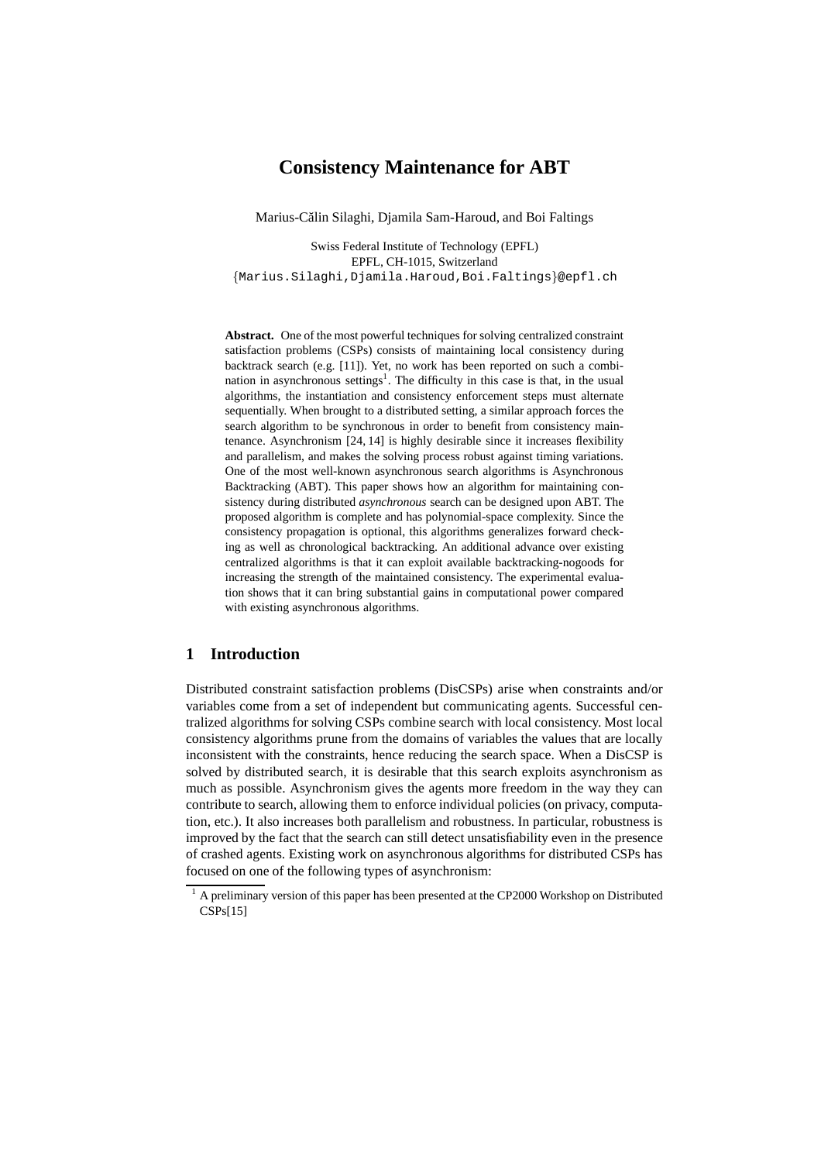# **Consistency Maintenance for ABT**

Marius-Călin Silaghi, Djamila Sam-Haroud, and Boi Faltings

Swiss Federal Institute of Technology (EPFL) EPFL, CH-1015, Switzerland {Marius.Silaghi,Djamila.Haroud,Boi.Faltings}@epfl.ch

**Abstract.** One of the most powerful techniques for solving centralized constraint satisfaction problems (CSPs) consists of maintaining local consistency during backtrack search (e.g. [11]). Yet, no work has been reported on such a combination in asynchronous settings<sup>1</sup>. The difficulty in this case is that, in the usual algorithms, the instantiation and consistency enforcement steps must alternate sequentially. When brought to a distributed setting, a similar approach forces the search algorithm to be synchronous in order to benefit from consistency maintenance. Asynchronism [24, 14] is highly desirable since it increases flexibility and parallelism, and makes the solving process robust against timing variations. One of the most well-known asynchronous search algorithms is Asynchronous Backtracking (ABT). This paper shows how an algorithm for maintaining consistency during distributed *asynchronous* search can be designed upon ABT. The proposed algorithm is complete and has polynomial-space complexity. Since the consistency propagation is optional, this algorithms generalizes forward checking as well as chronological backtracking. An additional advance over existing centralized algorithms is that it can exploit available backtracking-nogoods for increasing the strength of the maintained consistency. The experimental evaluation shows that it can bring substantial gains in computational power compared with existing asynchronous algorithms.

# **1 Introduction**

Distributed constraint satisfaction problems (DisCSPs) arise when constraints and/or variables come from a set of independent but communicating agents. Successful centralized algorithms for solving CSPs combine search with local consistency. Most local consistency algorithms prune from the domains of variables the values that are locally inconsistent with the constraints, hence reducing the search space. When a DisCSP is solved by distributed search, it is desirable that this search exploits asynchronism as much as possible. Asynchronism gives the agents more freedom in the way they can contribute to search, allowing them to enforce individual policies (on privacy, computation, etc.). It also increases both parallelism and robustness. In particular, robustness is improved by the fact that the search can still detect unsatisfiability even in the presence of crashed agents. Existing work on asynchronous algorithms for distributed CSPs has focused on one of the following types of asynchronism:

<sup>&</sup>lt;sup>1</sup> A preliminary version of this paper has been presented at the CP2000 Workshop on Distributed CSPs[15]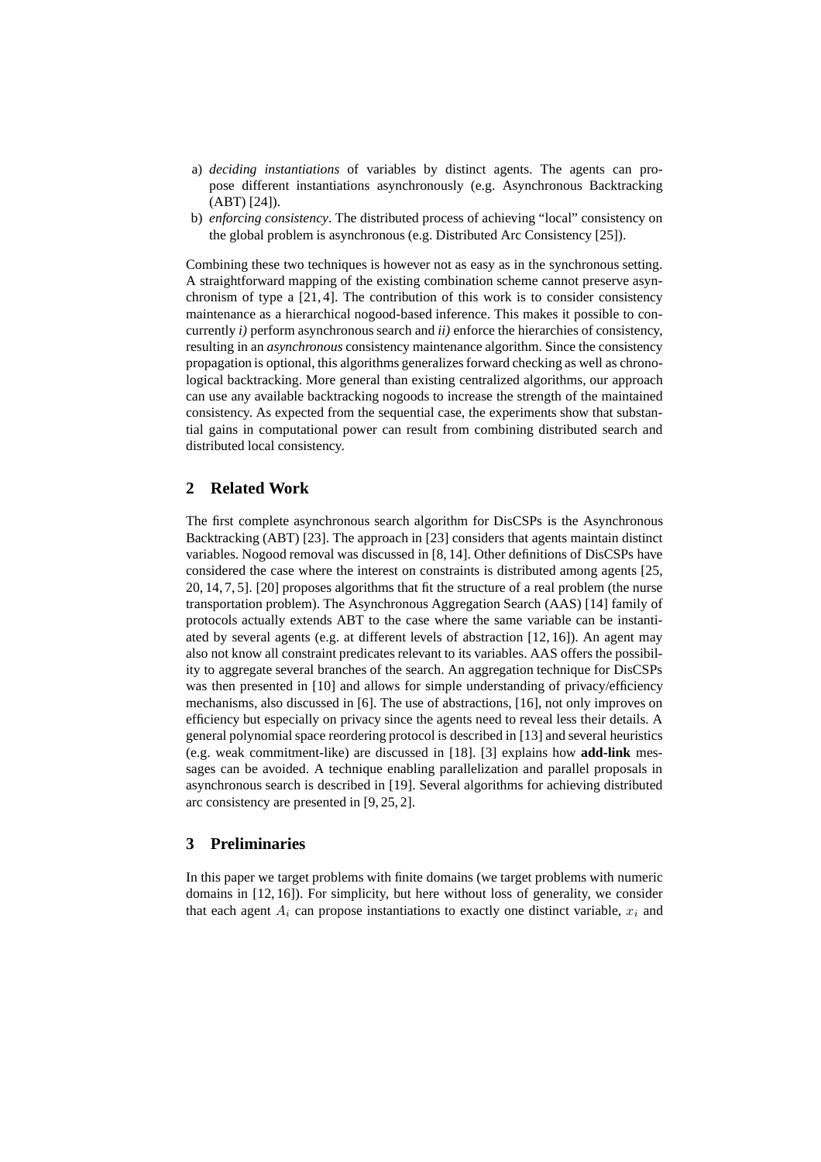- a) *deciding instantiations* of variables by distinct agents. The agents can propose different instantiations asynchronously (e.g. Asynchronous Backtracking (ABT) [24]).
- b) *enforcing consistency*. The distributed process of achieving "local" consistency on the global problem is asynchronous (e.g. Distributed Arc Consistency [25]).

Combining these two techniques is however not as easy as in the synchronous setting. A straightforward mapping of the existing combination scheme cannot preserve asynchronism of type a  $[21, 4]$ . The contribution of this work is to consider consistency maintenance as a hierarchical nogood-based inference. This makes it possible to concurrently *i)* perform asynchronous search and *ii)* enforce the hierarchies of consistency, resulting in an *asynchronous* consistency maintenance algorithm. Since the consistency propagation is optional, this algorithms generalizesforward checking as well as chronological backtracking. More general than existing centralized algorithms, our approach can use any available backtracking nogoods to increase the strength of the maintained consistency. As expected from the sequential case, the experiments show that substantial gains in computational power can result from combining distributed search and distributed local consistency.

# **2 Related Work**

The first complete asynchronous search algorithm for DisCSPs is the Asynchronous Backtracking (ABT) [23]. The approach in [23] considers that agents maintain distinct variables. Nogood removal was discussed in [8, 14]. Other definitions of DisCSPs have considered the case where the interest on constraints is distributed among agents [25, 20, 14, 7, 5]. [20] proposes algorithms that fit the structure of a real problem (the nurse transportation problem). The Asynchronous Aggregation Search (AAS) [14] family of protocols actually extends ABT to the case where the same variable can be instantiated by several agents (e.g. at different levels of abstraction [12, 16]). An agent may also not know all constraint predicates relevant to its variables. AAS offers the possibility to aggregate several branches of the search. An aggregation technique for DisCSPs was then presented in [10] and allows for simple understanding of privacy/efficiency mechanisms, also discussed in [6]. The use of abstractions, [16], not only improves on efficiency but especially on privacy since the agents need to reveal less their details. A general polynomial space reordering protocol is described in [13] and several heuristics (e.g. weak commitment-like) are discussed in [18]. [3] explains how **add-link** messages can be avoided. A technique enabling parallelization and parallel proposals in asynchronous search is described in [19]. Several algorithms for achieving distributed arc consistency are presented in [9, 25, 2].

# **3 Preliminaries**

In this paper we target problems with finite domains (we target problems with numeric domains in [12, 16]). For simplicity, but here without loss of generality, we consider that each agent  $A_i$  can propose instantiations to exactly one distinct variable,  $x_i$  and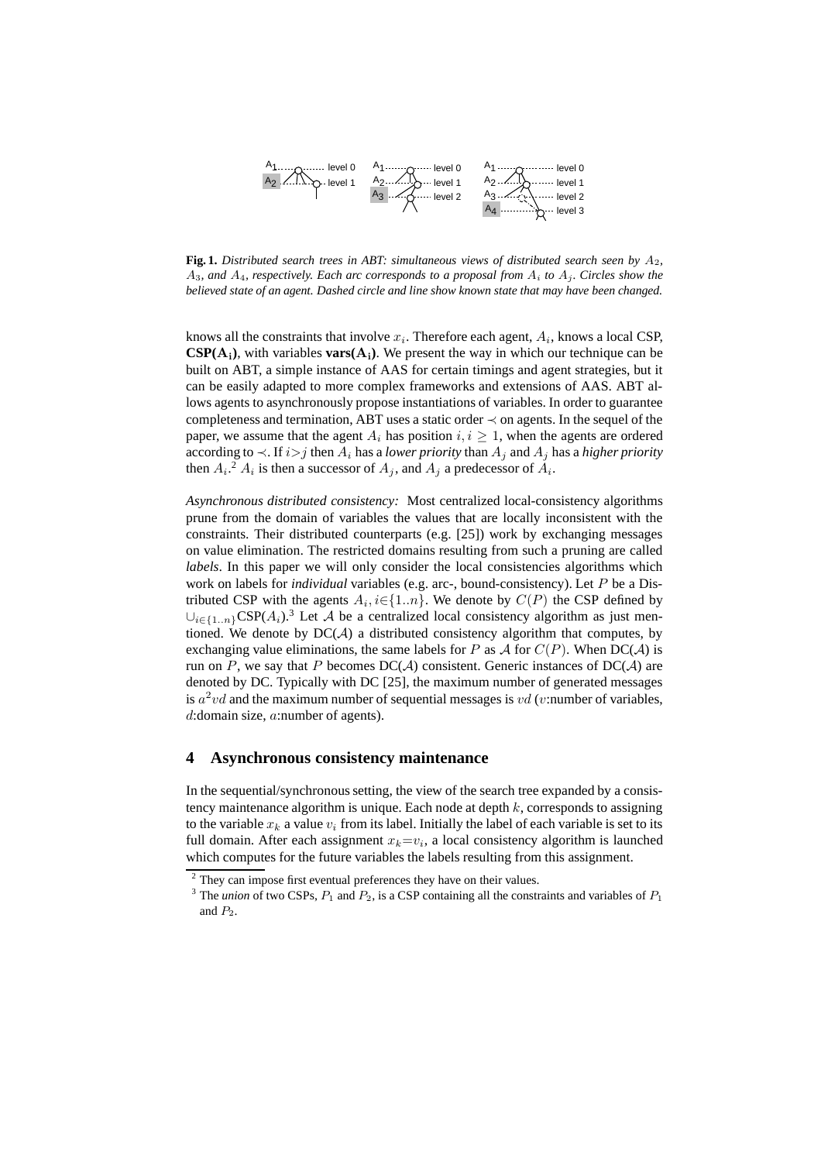

**Fig. 1.** *Distributed search trees in ABT: simultaneous views of distributed search seen by* A2*,*  $A_3$ *, and*  $A_4$ *, respectively. Each arc corresponds to a proposal from*  $A_i$  *to*  $A_j$ *. Circles show the believed state of an agent. Dashed circle and line show known state that may have been changed.*

knows all the constraints that involve  $x_i$ . Therefore each agent,  $A_i$ , knows a local CSP,  $CSP(A_i)$ , with variables **vars** $(A_i)$ . We present the way in which our technique can be built on ABT, a simple instance of AAS for certain timings and agent strategies, but it can be easily adapted to more complex frameworks and extensions of AAS. ABT allows agents to asynchronously propose instantiations of variables. In order to guarantee completeness and termination, ABT uses a static order  $\prec$  on agents. In the sequel of the paper, we assume that the agent  $A_i$  has position  $i, i \geq 1$ , when the agents are ordered according to  $\prec$ . If *i* > *j* then  $A_i$  has a *lower priority* than  $A_i$  and  $A_j$  has a *higher priority* then  $A_i$ <sup>2</sup>  $A_i$  is then a successor of  $A_j$ , and  $A_j$  a predecessor of  $A_i$ .

*Asynchronous distributed consistency:* Most centralized local-consistency algorithms prune from the domain of variables the values that are locally inconsistent with the constraints. Their distributed counterparts (e.g. [25]) work by exchanging messages on value elimination. The restricted domains resulting from such a pruning are called *labels*. In this paper we will only consider the local consistencies algorithms which work on labels for *individual* variables (e.g. arc-, bound-consistency). Let P be a Distributed CSP with the agents  $A_i, i \in \{1..n\}$ . We denote by  $C(P)$  the CSP defined by  $\bigcup_{i\in\{1..n\}}\text{CSP}(A_i).$ <sup>3</sup> Let A be a centralized local consistency algorithm as just mentioned. We denote by  $DC(\mathcal{A})$  a distributed consistency algorithm that computes, by exchanging value eliminations, the same labels for P as A for  $C(P)$ . When DC(A) is run on P, we say that P becomes  $DC(\mathcal{A})$  consistent. Generic instances of  $DC(\mathcal{A})$  are denoted by DC. Typically with DC [25], the maximum number of generated messages is  $a^2vd$  and the maximum number of sequential messages is vd (v:number of variables, d: domain size, *a*: number of agents).

### **4 Asynchronous consistency maintenance**

In the sequential/synchronous setting, the view of the search tree expanded by a consistency maintenance algorithm is unique. Each node at depth  $k$ , corresponds to assigning to the variable  $x_k$  a value  $v_i$  from its label. Initially the label of each variable is set to its full domain. After each assignment  $x_k = v_i$ , a local consistency algorithm is launched which computes for the future variables the labels resulting from this assignment.

 $2$  They can impose first eventual preferences they have on their values.

<sup>&</sup>lt;sup>3</sup> The *union* of two CSPs,  $P_1$  and  $P_2$ , is a CSP containing all the constraints and variables of  $P_1$ and  $P_2$ .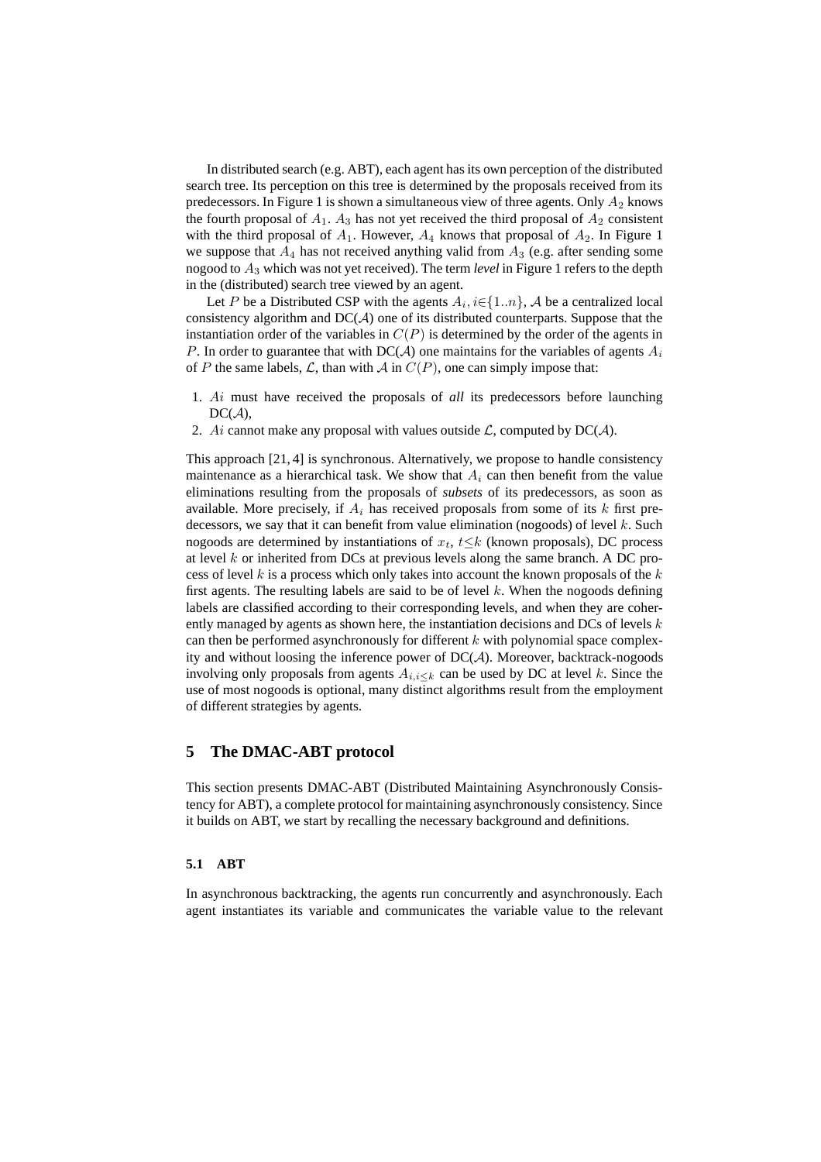In distributed search (e.g. ABT), each agent has its own perception of the distributed search tree. Its perception on this tree is determined by the proposals received from its predecessors. In Figure 1 is shown a simultaneous view of three agents. Only  $A_2$  knows the fourth proposal of  $A_1$ .  $A_3$  has not yet received the third proposal of  $A_2$  consistent with the third proposal of  $A_1$ . However,  $A_4$  knows that proposal of  $A_2$ . In Figure 1 we suppose that  $A_4$  has not received anything valid from  $A_3$  (e.g. after sending some nogood to A<sup>3</sup> which was not yet received). The term *level* in Figure 1 refers to the depth in the (distributed) search tree viewed by an agent.

Let P be a Distributed CSP with the agents  $A_i$ ,  $i \in \{1..n\}$ , A be a centralized local consistency algorithm and  $DC(\mathcal{A})$  one of its distributed counterparts. Suppose that the instantiation order of the variables in  $C(P)$  is determined by the order of the agents in P. In order to guarantee that with  $DC(\mathcal{A})$  one maintains for the variables of agents  $A_i$ of P the same labels, L, than with A in  $C(P)$ , one can simply impose that:

- 1. Ai must have received the proposals of *all* its predecessors before launching  $DC(\mathcal{A})$ ,
- 2. Ai cannot make any proposal with values outside  $\mathcal{L}$ , computed by DC( $\mathcal{A}$ ).

This approach [21, 4] is synchronous. Alternatively, we propose to handle consistency maintenance as a hierarchical task. We show that  $A_i$  can then benefit from the value eliminations resulting from the proposals of *subsets* of its predecessors, as soon as available. More precisely, if  $A_i$  has received proposals from some of its k first predecessors, we say that it can benefit from value elimination (nogoods) of level k. Such nogoods are determined by instantiations of  $x_t$ ,  $t \le k$  (known proposals), DC process at level  $k$  or inherited from DCs at previous levels along the same branch. A DC process of level k is a process which only takes into account the known proposals of the  $k$ first agents. The resulting labels are said to be of level  $k$ . When the nogoods defining labels are classified according to their corresponding levels, and when they are coherently managed by agents as shown here, the instantiation decisions and DCs of levels  $k$ can then be performed asynchronously for different  $k$  with polynomial space complexity and without loosing the inference power of  $DC(\mathcal{A})$ . Moreover, backtrack-nogoods involving only proposals from agents  $A_{i,i\leq k}$  can be used by DC at level k. Since the use of most nogoods is optional, many distinct algorithms result from the employment of different strategies by agents.

# **5 The DMAC-ABT protocol**

This section presents DMAC-ABT (Distributed Maintaining Asynchronously Consistency for ABT), a complete protocol for maintaining asynchronously consistency. Since it builds on ABT, we start by recalling the necessary background and definitions.

### **5.1 ABT**

In asynchronous backtracking, the agents run concurrently and asynchronously. Each agent instantiates its variable and communicates the variable value to the relevant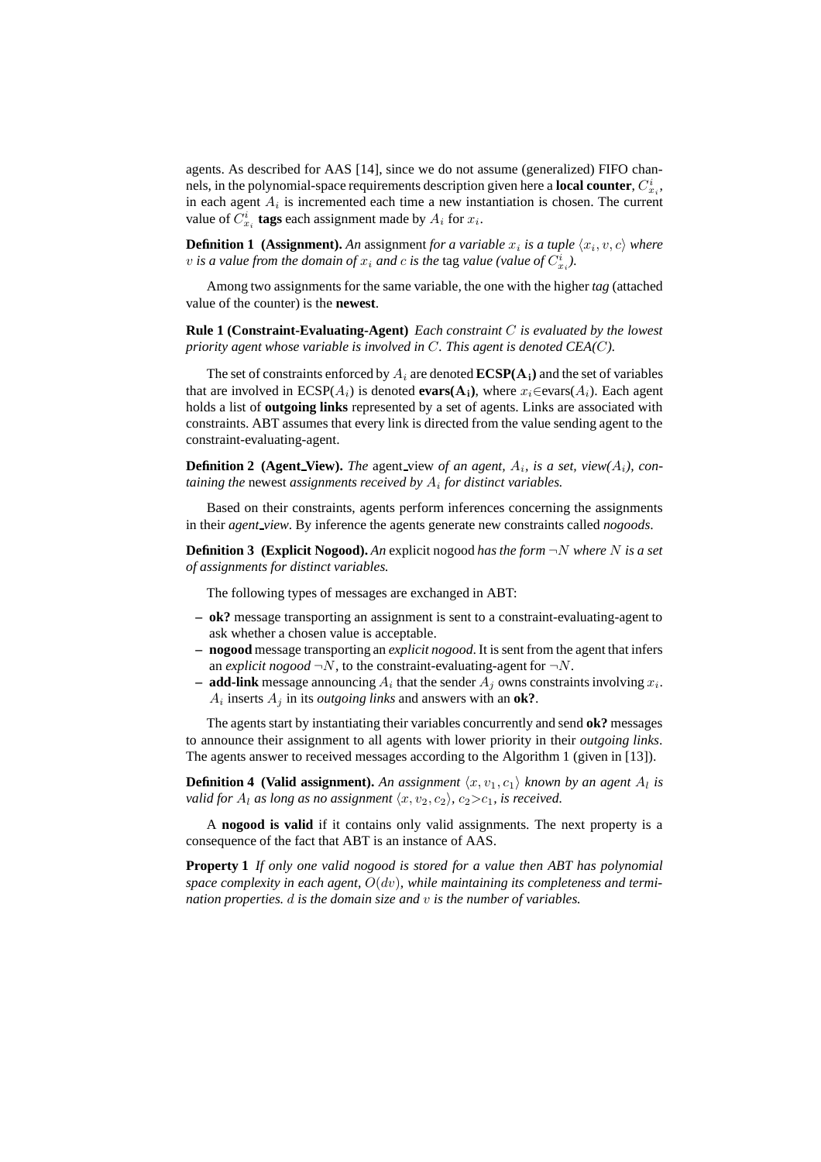agents. As described for AAS [14], since we do not assume (generalized) FIFO channels, in the polynomial-space requirements description given here a **local counter**,  $C_{x_i}^i$ , in each agent  $A_i$  is incremented each time a new instantiation is chosen. The current value of  $C_{x_i}^i$  **tags** each assignment made by  $A_i$  for  $x_i$ .

**Definition 1** (Assignment). An assignment for a variable  $x_i$  is a tuple  $\langle x_i, v, c \rangle$  where  $v$  *is a value from the domain of*  $x_i$  *and*  $c$  *<i>is the tag value (value of*  $C^i_{x_i}$ *).* 

Among two assignments for the same variable, the one with the higher *tag* (attached value of the counter) is the **newest**.

**Rule 1 (Constraint-Evaluating-Agent)** *Each constraint* C *is evaluated by the lowest priority agent whose variable is involved in* C*. This agent is denoted CEA(*C*).*

The set of constraints enforced by  $A_i$  are denoted  $\mathbf{ECSP}(A_i)$  and the set of variables that are involved in  $ECSP(A_i)$  is denoted **evars(A<sub>i</sub>**), where  $x_i \in \text{evars}(A_i)$ . Each agent holds a list of **outgoing links** represented by a set of agents. Links are associated with constraints. ABT assumes that every link is directed from the value sending agent to the constraint-evaluating-agent.

**Definition 2** (Agent<sub>-</sub>View). The agent<sub>-V</sub>iew of an agent,  $A_i$ , is a set, view( $A_i$ ), con*taining the* newest *assignments received by* A<sup>i</sup> *for distinct variables.*

Based on their constraints, agents perform inferences concerning the assignments in their *agent view*. By inference the agents generate new constraints called *nogoods*.

**Definition 3 (Explicit Nogood).** An explicit nogood has the form  $\neg N$  where N is a set *of assignments for distinct variables.*

The following types of messages are exchanged in ABT:

- **– ok?** message transporting an assignment is sent to a constraint-evaluating-agent to ask whether a chosen value is acceptable.
- **– nogood** message transporting an *explicit nogood*. It is sent from the agent that infers an *explicit* nogood  $\neg N$ , to the constraint-evaluating-agent for  $\neg N$ .
- **add-link** message announcing  $A_i$  that the sender  $A_j$  owns constraints involving  $x_i$ .  $A_i$  inserts  $A_j$  in its *outgoing links* and answers with an **ok?**.

The agents start by instantiating their variables concurrently and send **ok?** messages to announce their assignment to all agents with lower priority in their *outgoing links*. The agents answer to received messages according to the Algorithm 1 (given in [13]).

**Definition 4 (Valid assignment).** An assignment  $\langle x, v_1, c_1 \rangle$  known by an agent  $A_l$  is *valid* for  $A_l$  *as long as no assignment*  $\langle x, v_2, c_2 \rangle$ ,  $c_2>c_1$ , *is received.* 

A **nogood is valid** if it contains only valid assignments. The next property is a consequence of the fact that ABT is an instance of AAS.

**Property 1** *If only one valid nogood is stored for a value then ABT has polynomial space complexity in each agent,* O(dv)*, while maintaining its completeness and termination properties.* d *is the domain size and* v *is the number of variables.*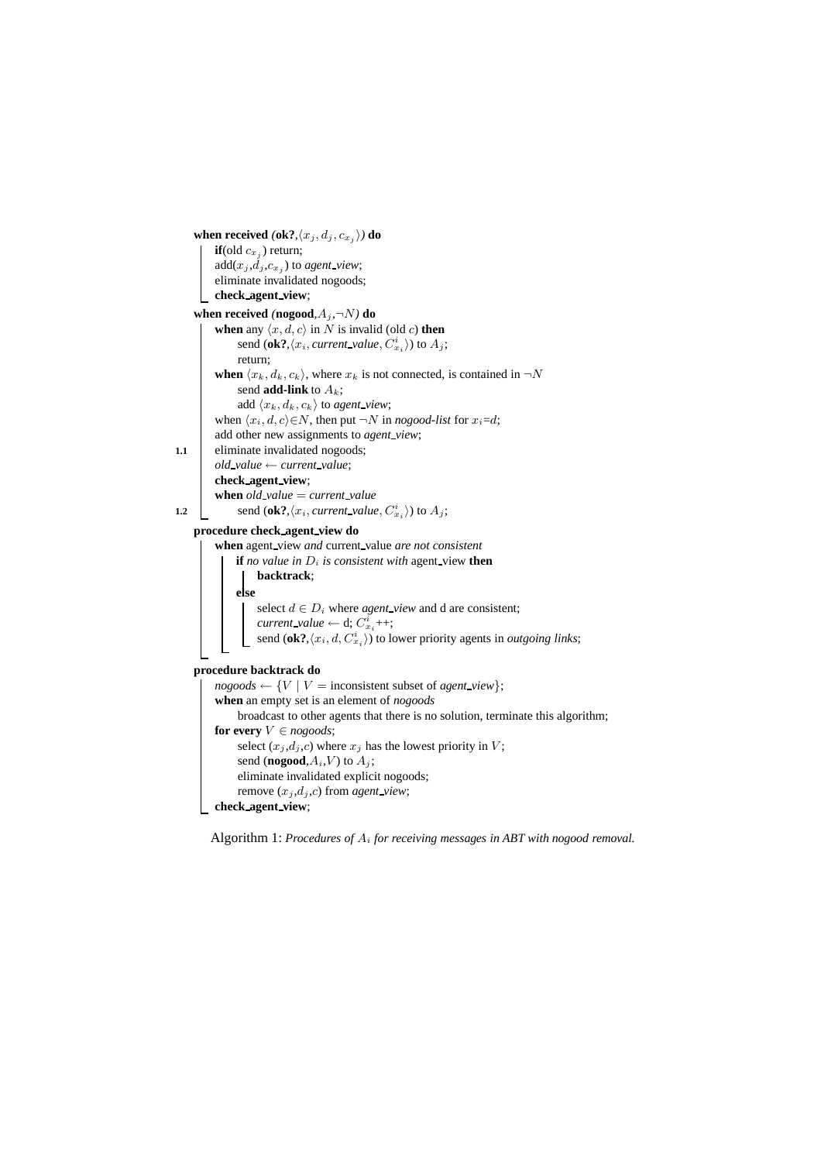```
when <code>received</code> (\mathbf{ok?},\langle x_j, d_j, c_{x_j}\rangle) <code>do</code>
          \mathbf{if}(\text{old }c_{x_j}) return;
          add(x_j, d_j, c_{x_j}) to agent_view;
         eliminate invalidated nogoods;
        check agent view;
    when received (nogood, A_i, \neg N) do
         when any \langle x, d, c \rangle in N is invalid (old c) then
               send (ok?,\langle x_i, current\_value, C_{x_i}^i \rangle) to A_j;
               return;
         when \langle x_k, d_k, c_k \rangle, where x_k is not connected, is contained in \neg Nsend add-link to A_k;
               add \langle x_k, d_k, c_k \rangle to agent_view;
         when \langle x_i, d, c \rangle \in N, then put \neg N in nogood-list for x_i=d;
         add other new assignments to agent view;
1.1 eliminate invalidated nogoods;
         old value ← current value;
         check agent view;
         when old\_value = current\_value1.2 send (\mathbf{ok?}, \langle x_i, \textit{current\_value}, C^i_{x_i} \rangle) to A_j;
    procedure check agent view do
         when agent view and current value are not consistent
              if no value in D_i is consistent with agent_view then
                   backtrack;
              else
                    select d \in D_i where agent_view and d are consistent;
                    current\_value \leftarrow d; C^i_{x_i}++;send (\mathbf{ok?}, \langle x_i, d, C_{x_i}^i \rangle) to lower priority agents in outgoing links;
    procedure backtrack do
         nogoods \leftarrow \{V \mid V = \text{inconsistent subset of agent\_view}\};when an empty set is an element of nogoods
               broadcast to other agents that there is no solution, terminate this algorithm;
         for every V \in nogoods;
```

```
select (x_j, d_j, c) where x_j has the lowest priority in V;
send (nogood, A_i, V) to A_j;
eliminate invalidated explicit nogoods;
```

```
remove (x_j, d_j, c) from agent_view;
```

```
check agent view;
```
Algorithm 1: *Procedures of* A<sup>i</sup> *for receiving messages in ABT with nogood removal.*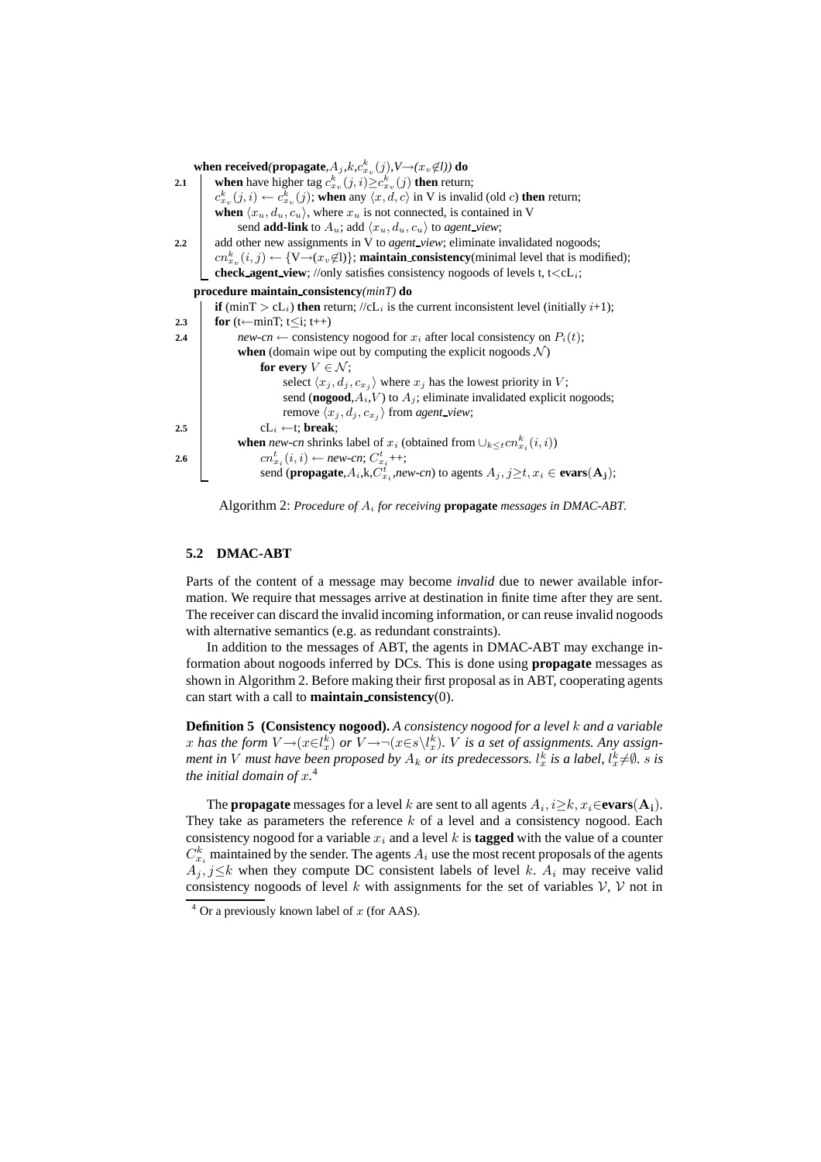| when received (propagate, $A_j, k, c_{x_n}^k(j), V \rightarrow (x_v \notin l)$ ) do |                                                                                                                                        |
|-------------------------------------------------------------------------------------|----------------------------------------------------------------------------------------------------------------------------------------|
| 2.1                                                                                 | <b>when</b> have higher tag $c_{x_n}^k(j, i) \geq c_{x_n}^k(j)$ then return;                                                           |
|                                                                                     | $c_{x_n}^k(j, i) \leftarrow c_{x_n}^k(j)$ ; when any $\langle x, d, c \rangle$ in V is invalid (old c) then return;                    |
|                                                                                     | when $\langle x_u, d_u, c_u \rangle$ , where $x_u$ is not connected, is contained in V                                                 |
|                                                                                     | send <b>add-link</b> to $A_u$ ; add $\langle x_u, d_u, c_u \rangle$ to <i>agent_view</i> ;                                             |
| 2.2                                                                                 | add other new assignments in V to <i>agent_view</i> ; eliminate invalidated nogoods;                                                   |
|                                                                                     | $cn_{x_n}^k(i,j) \leftarrow \{V \rightarrow (x_v \notin I)\}\;$ maintain consistency(minimal level that is modified);                  |
|                                                                                     | <b>check agent view</b> ; //only satisfies consistency nogoods of levels t, $t \lt cL_i$ ;                                             |
| procedure maintain_consistency( $minT$ ) do                                         |                                                                                                                                        |
|                                                                                     | <b>if</b> (minT > cL <sub>i</sub> ) <b>then</b> return; //cL <sub>i</sub> is the current inconsistent level (initially <i>i</i> +1);   |
| 2.3                                                                                 | for $(t \leftarrow minT; t \leq i; t++)$                                                                                               |
| 2.4                                                                                 | <i>new-cn</i> $\leftarrow$ consistency nogood for $x_i$ after local consistency on $P_i(t)$ ;                                          |
|                                                                                     | <b>when</b> (domain wipe out by computing the explicit nogoods $\mathcal{N}$ )                                                         |
|                                                                                     | for every $V \in \mathcal{N}$ ;                                                                                                        |
|                                                                                     | select $\langle x_j, d_j, c_{x_j} \rangle$ where $x_j$ has the lowest priority in V;                                                   |
|                                                                                     | send ( <b>nogood</b> , $A_i$ , $V$ ) to $A_j$ ; eliminate invalidated explicit nogoods;                                                |
|                                                                                     | remove $\langle x_j, d_j, c_{x_j} \rangle$ from <i>agent_view</i> ;                                                                    |
| 2.5                                                                                 | $cL_i \leftarrow t$ ; break;                                                                                                           |
|                                                                                     | <b>when</b> new-cn shrinks label of $x_i$ (obtained from $\cup_{k \leq t} cn_{x_i}^k(i, i)$ )                                          |
| 2.6                                                                                 | $cn_{x_i}^t(i,i) \leftarrow new\text{-}cn; C_{x_i}^t$ ++;                                                                              |
|                                                                                     | send ( <b>propagate</b> , $A_i$ ,k, $C_{x_i}^t$ , <i>new-cn</i> ) to agents $A_j$ , $j \ge t$ , $x_i \in \text{evars}(\mathbf{A}_j)$ ; |

Algorithm 2: *Procedure of* A<sup>i</sup> *for receiving* **propagate** *messages in DMAC-ABT.*

# **5.2 DMAC-ABT**

Parts of the content of a message may become *invalid* due to newer available information. We require that messages arrive at destination in finite time after they are sent. The receiver can discard the invalid incoming information, or can reuse invalid nogoods with alternative semantics (e.g. as redundant constraints).

In addition to the messages of ABT, the agents in DMAC-ABT may exchange information about nogoods inferred by DCs. This is done using **propagate** messages as shown in Algorithm 2. Before making their first proposal as in ABT, cooperating agents can start with a call to **maintain consistency**(0).

**Definition 5 (Consistency nogood).** *A consistency nogood for a level* k *and a variable*  $x$  *has the form*  $V \rightarrow (x \in l_x^k)$  *or*  $V \rightarrow \neg (x \in s \setminus l_x^k)$ . *V is a set of assignments. Any assignment in*  $V$  *must have been proposed by*  $A_k$  *or its predecessors.*  $l_x^k$  *is a label,*  $l_x^k \neq \emptyset$ *. s is the initial domain of* x*.* 4

The **propagate** messages for a level  $k$  are sent to all agents  $A_i, i{\geq}k, x_i{\in}$ **evars** $(\mathbf{A_i}).$ They take as parameters the reference  $k$  of a level and a consistency nogood. Each consistency nogood for a variable  $x_i$  and a level k is **tagged** with the value of a counter  $C_{x_i}^k$  maintained by the sender. The agents  $A_i$  use the most recent proposals of the agents  $A_j, j \leq k$  when they compute DC consistent labels of level k.  $A_i$  may receive valid consistency nogoods of level  $k$  with assignments for the set of variables  $V$ ,  $V$  not in

 $4$  Or a previously known label of x (for AAS).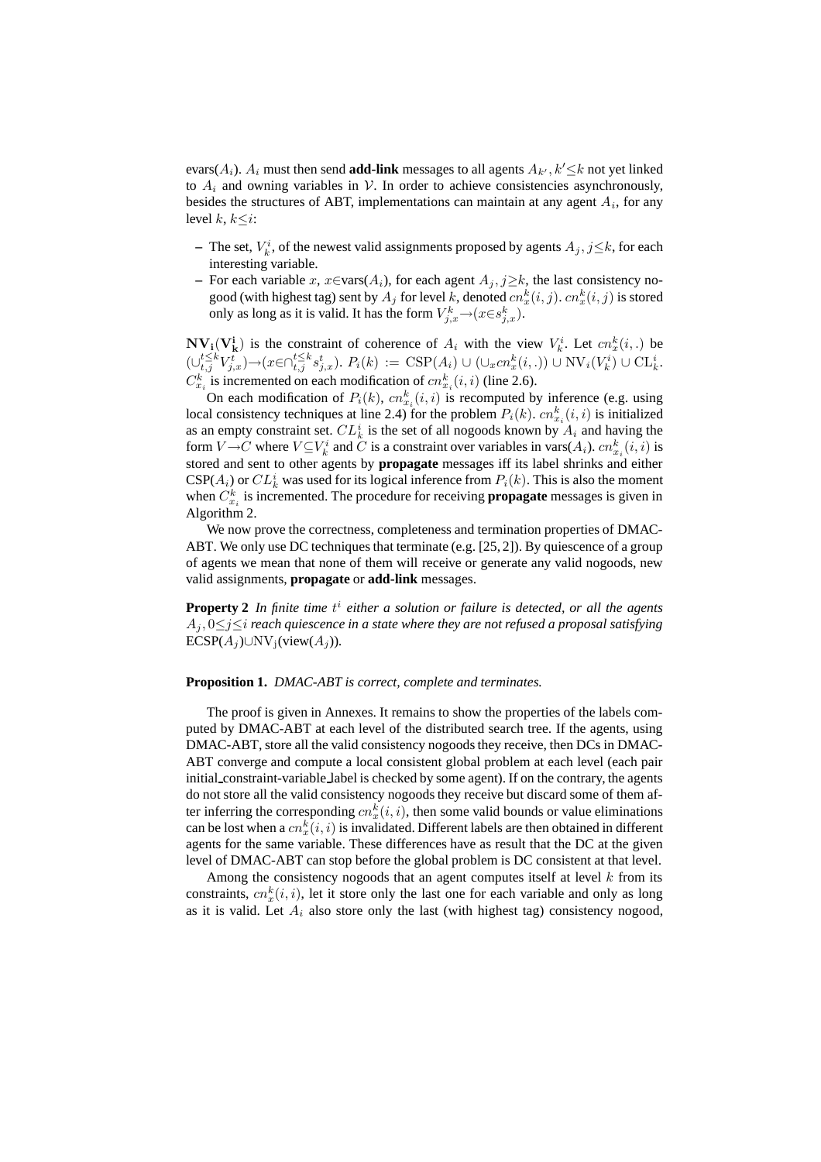evars( $A_i$ ).  $A_i$  must then send **add-link** messages to all agents  $A_{k'}, k' \le k$  not yet linked to  $A_i$  and owning variables in  $\mathcal V$ . In order to achieve consistencies asynchronously, besides the structures of ABT, implementations can maintain at any agent  $A_i$ , for any level  $k, k \leq i$ :

- $-$  The set,  $V_k^i$ , of the newest valid assignments proposed by agents  $A_j$ ,  $j \leq k$ , for each interesting variable.
- **–** For each variable x, x∈vars( $A_i$ ), for each agent  $A_j$ ,  $j≥k$ , the last consistency nogood (with highest tag) sent by  $A_j$  for level  $k$ , denoted  $cn_x^k(i,j)$ .  $cn_x^k(i,j)$  is stored only as long as it is valid. It has the form  $V_{j,x}^k \rightarrow (x \in s_{j,x}^k)$ .

 $\mathbf{NV}_i(\mathbf{V}_k^i)$  is the constraint of coherence of  $A_i$  with the view  $V_k^i$ . Let  $cn_x^k(i,.)$  be  $(\cup_{t,j}^{t\leq k} V_{j,x}^t) \to (x\in \cap_{t,j}^{t\leq k} s_{j,x}^t)$ .  $P_i(k) := \text{CSP}(A_i) \cup (\cup_x c n_x^k(i,.)) \cup \text{NV}_i(V_k^i) \cup \text{CL}_k^i$ .  $C_{x_i}^k$  is incremented on each modification of  $cn_{x_i}^k(i, i)$  (line 2.6).

On each modification of  $P_i(k)$ ,  $cn_{x_i}^k(i, i)$  is recomputed by inference (e.g. using local consistency techniques at line 2.4) for the problem  $P_i(k)$ .  $cn_{x_i}^k(i, i)$  is initialized as an empty constraint set.  $CL_k^i$  is the set of all nogoods known by  $A_i$  and having the form  $V \rightarrow C$  where  $V \subseteq V_k^i$  and  $C$  is a constraint over variables in vars $(A_i)$ .  $cn_{x_i}^k(i, i)$  is stored and sent to other agents by **propagate** messages iff its label shrinks and either  $CSP(A_i)$  or  $CL_k^i$  was used for its logical inference from  $P_i(k)$ . This is also the moment when  $C_{x_i}^k$  is incremented. The procedure for receiving **propagate** messages is given in Algorithm 2.

We now prove the correctness, completeness and termination properties of DMAC-ABT. We only use DC techniques that terminate (e.g.  $[25, 2]$ ). By quiescence of a group of agents we mean that none of them will receive or generate any valid nogoods, new valid assignments, **propagate** or **add-link** messages.

**Property 2** In finite time  $t^i$  either a solution or failure is detected, or all the agents A<sup>j</sup> , 0≤j≤i *reach quiescence in a state where they are not refused a proposal satisfying*  $ECSP(A_j) \cup NV_j$ (view $(A_j)$ ).

#### **Proposition 1.** *DMAC-ABT is correct, complete and terminates.*

The proof is given in Annexes. It remains to show the properties of the labels computed by DMAC-ABT at each level of the distributed search tree. If the agents, using DMAC-ABT, store all the valid consistency nogoods they receive, then DCs in DMAC-ABT converge and compute a local consistent global problem at each level (each pair initial constraint-variable label is checked by some agent). If on the contrary, the agents do not store all the valid consistency nogoods they receive but discard some of them after inferring the corresponding  $cn_x^k(i, i)$ , then some valid bounds or value eliminations can be lost when a  $cn_x^k(i,i)$  is invalidated. Different labels are then obtained in different agents for the same variable. These differences have as result that the DC at the given level of DMAC-ABT can stop before the global problem is DC consistent at that level.

Among the consistency nogoods that an agent computes itself at level  $k$  from its constraints,  $cn_x^k(i, i)$ , let it store only the last one for each variable and only as long as it is valid. Let  $A_i$  also store only the last (with highest tag) consistency nogood,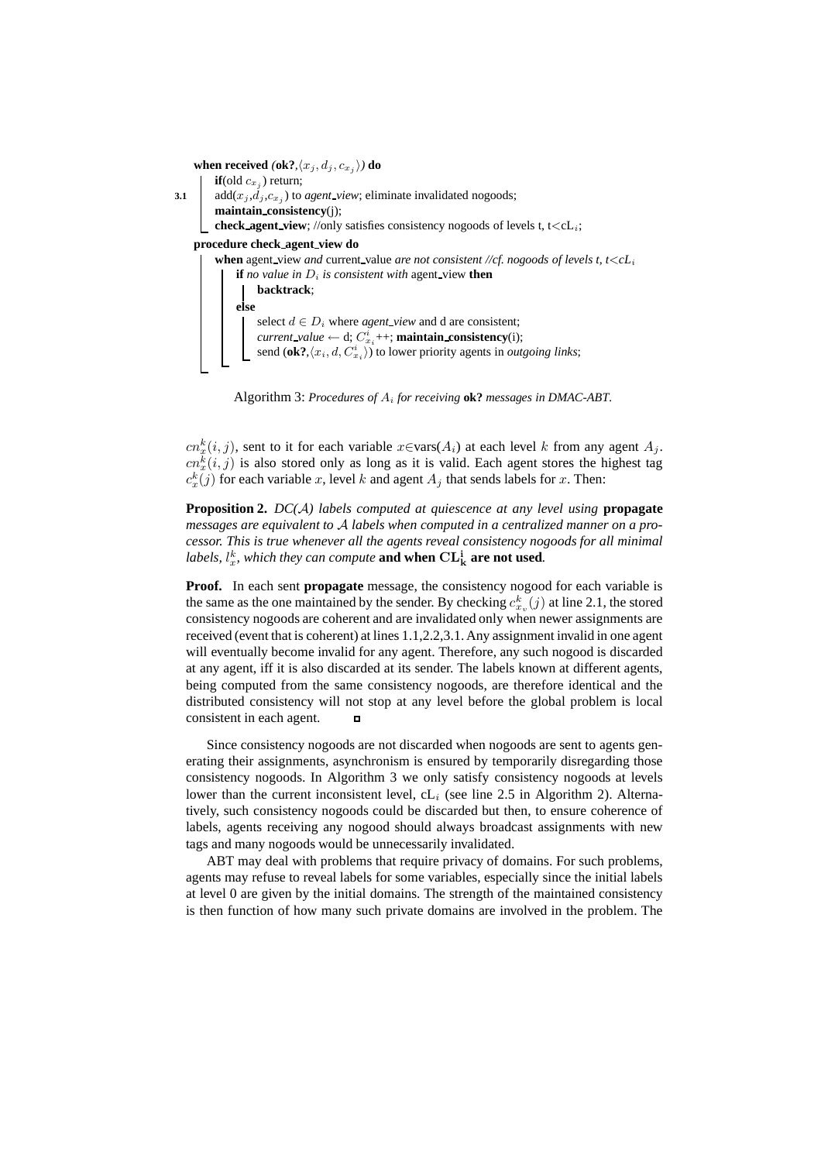```
when <code>received</code> (\mathbf{ok?},\langle x_j, d_j, c_{x_j}\rangle) <code>do</code>
         if(old c_{x_j}) return;
3.1 add(x_j, d_j, c_{x_j}) to agent view; eliminate invalidated nogoods;
         maintain consistency(j);
         check agent view; //only satisfies consistency nogoods of levels t, t \lt cL_i;
    procedure check agent view do
         when agent_view and current_value are not consistent //cf. nogoods of levels t, t \lt cL_iif no value in D_i is consistent with agent view then
                   backtrack;
              else
                   select d \in D_i where agent_view and d are consistent;
                    current\_value \leftarrow d; C_{x_i}^i++; \text{maintain\_consistency}(i);send (\mathbf{ok?}, \langle x_i, d, C_{x_i}^i \rangle) to lower priority agents in outgoing links;
```
Algorithm 3: *Procedures of* A<sup>i</sup> *for receiving* **ok?** *messages in DMAC-ABT.*

 $cn_x^k(i, j)$ , sent to it for each variable  $x \in \text{vars}(A_i)$  at each level k from any agent  $A_j$ .  $cn_x^k(i, j)$  is also stored only as long as it is valid. Each agent stores the highest tag  $c_x^k(j)$  for each variable x, level k and agent  $A_j$  that sends labels for x. Then:

**Proposition 2.** *DC(*A*) labels computed at quiescence at any level using* **propagate** *messages are equivalent to* A *labels when computed in a centralized manner on a processor. This is true whenever all the agents reveal consistency nogoods for all minimal labels,*  $l_x^k$ *, which they can compute* and when  $CL^i_k$  are not used.

**Proof.** In each sent **propagate** message, the consistency nogood for each variable is the same as the one maintained by the sender. By checking  $c_{x_v}^k(j)$  at line 2.1, the stored consistency nogoods are coherent and are invalidated only when newer assignments are received (event that is coherent) at lines 1.1,2.2,3.1. Any assignment invalid in one agent will eventually become invalid for any agent. Therefore, any such nogood is discarded at any agent, iff it is also discarded at its sender. The labels known at different agents, being computed from the same consistency nogoods, are therefore identical and the distributed consistency will not stop at any level before the global problem is local consistent in each agent.  $\Box$ 

Since consistency nogoods are not discarded when nogoods are sent to agents generating their assignments, asynchronism is ensured by temporarily disregarding those consistency nogoods. In Algorithm 3 we only satisfy consistency nogoods at levels lower than the current inconsistent level,  $cL_i$  (see line 2.5 in Algorithm 2). Alternatively, such consistency nogoods could be discarded but then, to ensure coherence of labels, agents receiving any nogood should always broadcast assignments with new tags and many nogoods would be unnecessarily invalidated.

ABT may deal with problems that require privacy of domains. For such problems, agents may refuse to reveal labels for some variables, especially since the initial labels at level 0 are given by the initial domains. The strength of the maintained consistency is then function of how many such private domains are involved in the problem. The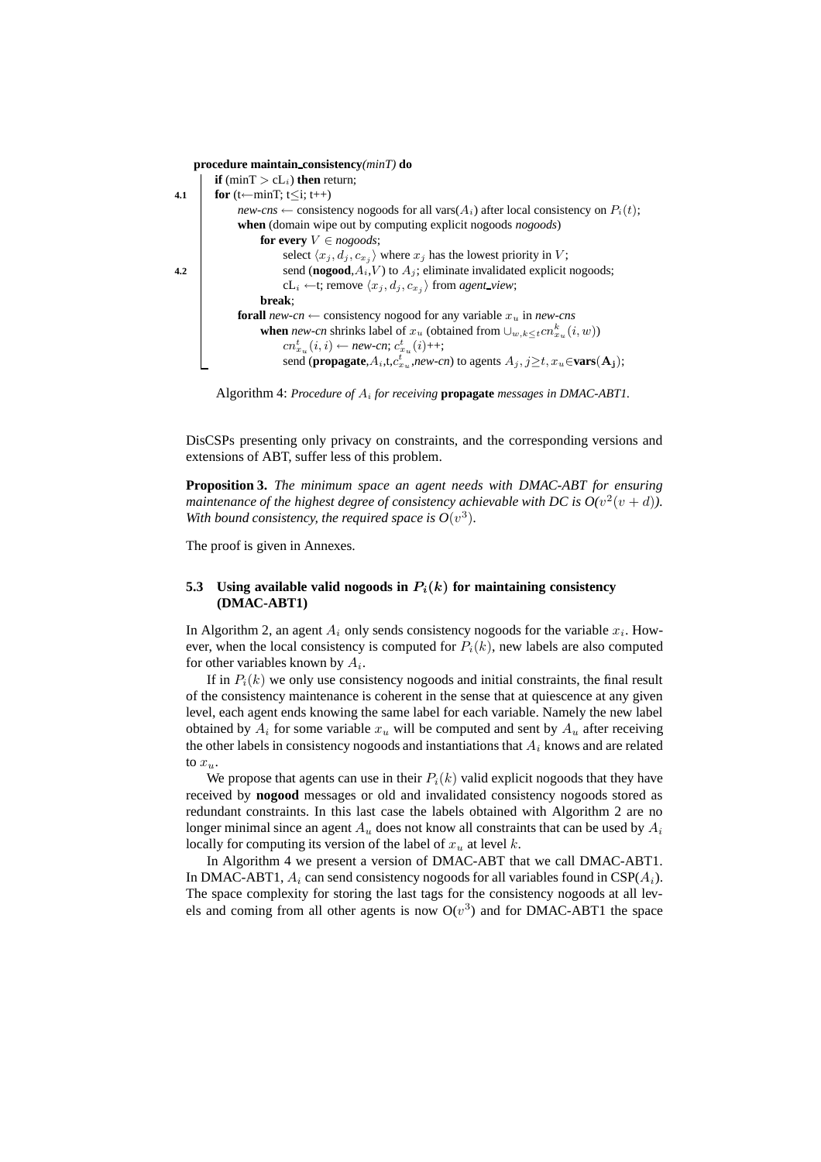```
procedure maintain consistency(minT) do
         if (minT > cL_i) then return;
4.1 for (t←minT; t≤i; t++)
              new-cns \leftarrow consistency nogoods for all vars(A_i) after local consistency on P_i(t);
              when (domain wipe out by computing explicit nogoods nogoods)
                    for every V \in nogoods;
                         select \langle x_j, d_j, c_{x_j} \rangle where x_j has the lowest priority in V;
4.2 send (nogood, A_i, V) to A_j; eliminate invalidated explicit nogoods;
                         cL<sub>i</sub> ← t; remove <math>\langle x_j, d_j, c_{x_j} \rangle from agent_view;
                    break;
              forall new\text{-}cn \leftarrow \text{consistency} nogood for any variable x_u in new-cns
                    when new-cn shrinks label of x_u (obtained from \cup_{w,k \leq t} cn_{x_u}^k(i, w))
                         cn_{x_u}^t(i, i) \leftarrow new-cn; c_{x_u}^t(i)++;
                         send (propagate,A_i,t,c_{x_u}^t,new-cn) to agents A_j, j \ge t, x_u \in \textbf{vars}(A_j);
```
Algorithm 4: *Procedure of* A<sup>i</sup> *for receiving* **propagate** *messages in DMAC-ABT1.*

DisCSPs presenting only privacy on constraints, and the corresponding versions and extensions of ABT, suffer less of this problem.

**Proposition 3.** *The minimum space an agent needs with DMAC-ABT for ensuring maintenance of the highest degree of consistency achievable with DC is*  $O(v^2(v+d))$ *. With bound consistency, the required space is*  $O(v^3)$ *.* 

The proof is given in Annexes.

### **5.3 Using** available valid nogoods in  $P_i(k)$  for maintaining consistency **(DMAC-ABT1)**

In Algorithm 2, an agent  $A_i$  only sends consistency nogoods for the variable  $x_i$ . However, when the local consistency is computed for  $P_i(k)$ , new labels are also computed for other variables known by  $A_i$ .

If in  $P_i(k)$  we only use consistency nogoods and initial constraints, the final result of the consistency maintenance is coherent in the sense that at quiescence at any given level, each agent ends knowing the same label for each variable. Namely the new label obtained by  $A_i$  for some variable  $x_u$  will be computed and sent by  $A_u$  after receiving the other labels in consistency nogoods and instantiations that  $A_i$  knows and are related to  $x_u$ .

We propose that agents can use in their  $P_i(k)$  valid explicit nogoods that they have received by **nogood** messages or old and invalidated consistency nogoods stored as redundant constraints. In this last case the labels obtained with Algorithm 2 are no longer minimal since an agent  $A_u$  does not know all constraints that can be used by  $A_i$ locally for computing its version of the label of  $x_u$  at level k.

In Algorithm 4 we present a version of DMAC-ABT that we call DMAC-ABT1. In DMAC-ABT1,  $A_i$  can send consistency nogoods for all variables found in CSP( $A_i$ ). The space complexity for storing the last tags for the consistency nogoods at all levels and coming from all other agents is now  $O(v^3)$  and for DMAC-ABT1 the space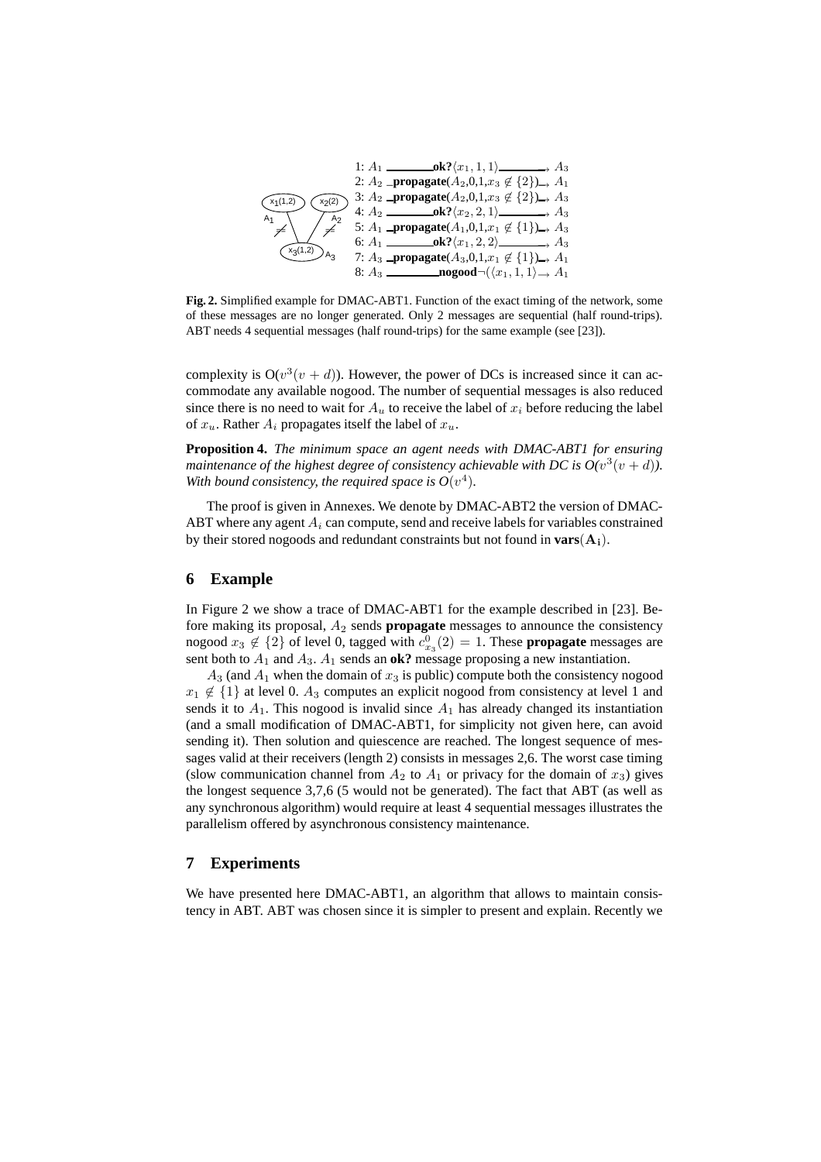

**Fig. 2.** Simplified example for DMAC-ABT1. Function of the exact timing of the network, some of these messages are no longer generated. Only 2 messages are sequential (half round-trips). ABT needs 4 sequential messages (half round-trips) for the same example (see [23]).

complexity is  $O(v^3(v+d))$ . However, the power of DCs is increased since it can accommodate any available nogood. The number of sequential messages is also reduced since there is no need to wait for  $A_u$  to receive the label of  $x_i$  before reducing the label of  $x_u$ . Rather  $A_i$  propagates itself the label of  $x_u$ .

**Proposition 4.** *The minimum space an agent needs with DMAC-ABT1 for ensuring maintenance of the highest degree of consistency achievable with DC is*  $O(v^3(v+d))$ *. With bound consistency, the required space is*  $O(v^4)$ *.* 

The proof is given in Annexes. We denote by DMAC-ABT2 the version of DMAC-ABT where any agent  $A_i$  can compute, send and receive labels for variables constrained by their stored nogoods and redundant constraints but not found in **vars**(Ai).

### **6 Example**

In Figure 2 we show a trace of DMAC-ABT1 for the example described in [23]. Before making its proposal, A<sup>2</sup> sends **propagate** messages to announce the consistency nogood  $x_3 \notin \{2\}$  of level 0, tagged with  $c_{x_3}^0(2) = 1$ . These **propagate** messages are sent both to  $A_1$  and  $A_3$ .  $A_1$  sends an **ok?** message proposing a new instantiation.

 $A_3$  (and  $A_1$  when the domain of  $x_3$  is public) compute both the consistency nogood  $x_1 \notin \{1\}$  at level 0.  $A_3$  computes an explicit nogood from consistency at level 1 and sends it to  $A_1$ . This nogood is invalid since  $A_1$  has already changed its instantiation (and a small modification of DMAC-ABT1, for simplicity not given here, can avoid sending it). Then solution and quiescence are reached. The longest sequence of messages valid at their receivers (length 2) consists in messages 2,6. The worst case timing (slow communication channel from  $A_2$  to  $A_1$  or privacy for the domain of  $x_3$ ) gives the longest sequence 3,7,6 (5 would not be generated). The fact that ABT (as well as any synchronous algorithm) would require at least 4 sequential messages illustrates the parallelism offered by asynchronous consistency maintenance.

### **7 Experiments**

We have presented here DMAC-ABT1, an algorithm that allows to maintain consistency in ABT. ABT was chosen since it is simpler to present and explain. Recently we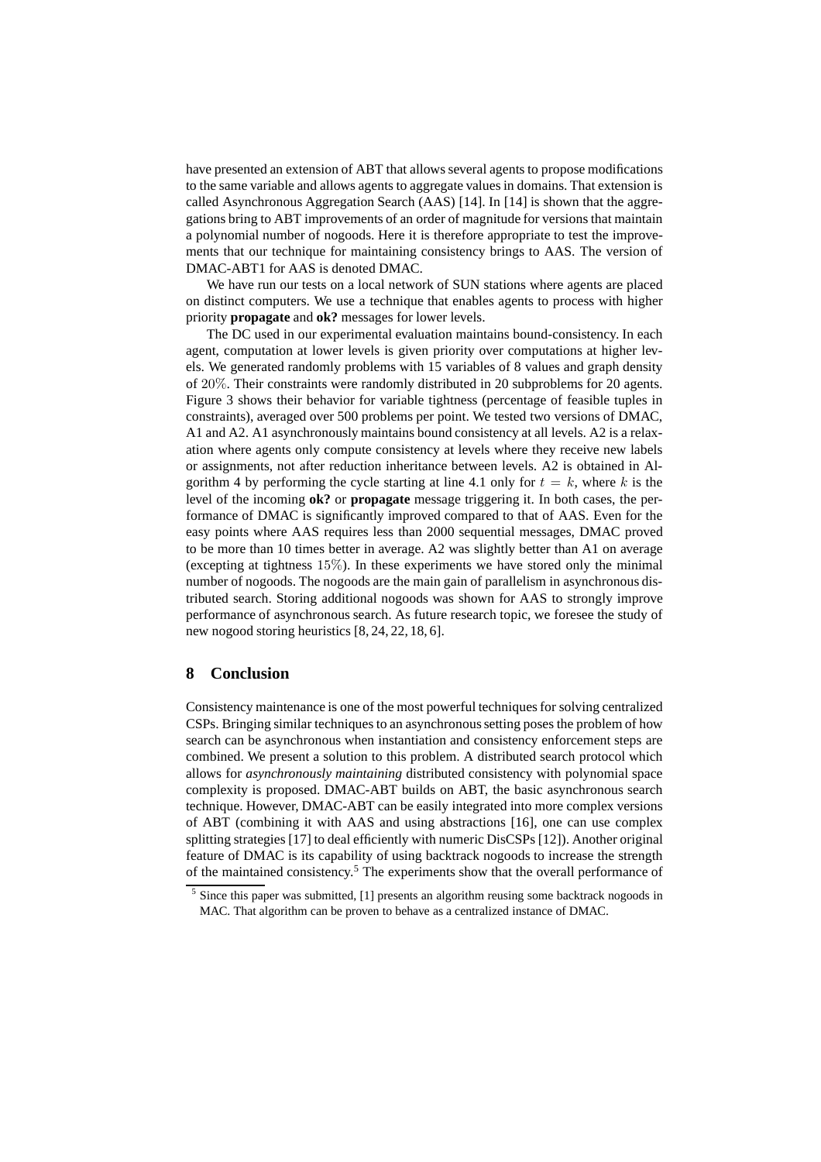have presented an extension of ABT that allows several agents to propose modifications to the same variable and allows agents to aggregate values in domains. That extension is called Asynchronous Aggregation Search (AAS) [14]. In [14] is shown that the aggregations bring to ABT improvements of an order of magnitude for versions that maintain a polynomial number of nogoods. Here it is therefore appropriate to test the improvements that our technique for maintaining consistency brings to AAS. The version of DMAC-ABT1 for AAS is denoted DMAC.

We have run our tests on a local network of SUN stations where agents are placed on distinct computers. We use a technique that enables agents to process with higher priority **propagate** and **ok?** messages for lower levels.

The DC used in our experimental evaluation maintains bound-consistency. In each agent, computation at lower levels is given priority over computations at higher levels. We generated randomly problems with 15 variables of 8 values and graph density of 20%. Their constraints were randomly distributed in 20 subproblems for 20 agents. Figure 3 shows their behavior for variable tightness (percentage of feasible tuples in constraints), averaged over 500 problems per point. We tested two versions of DMAC, A1 and A2. A1 asynchronously maintains bound consistency at all levels. A2 is a relaxation where agents only compute consistency at levels where they receive new labels or assignments, not after reduction inheritance between levels. A2 is obtained in Algorithm 4 by performing the cycle starting at line 4.1 only for  $t = k$ , where k is the level of the incoming **ok?** or **propagate** message triggering it. In both cases, the performance of DMAC is significantly improved compared to that of AAS. Even for the easy points where AAS requires less than 2000 sequential messages, DMAC proved to be more than 10 times better in average. A2 was slightly better than A1 on average (excepting at tightness 15%). In these experiments we have stored only the minimal number of nogoods. The nogoods are the main gain of parallelism in asynchronous distributed search. Storing additional nogoods was shown for AAS to strongly improve performance of asynchronous search. As future research topic, we foresee the study of new nogood storing heuristics [8, 24, 22, 18, 6].

# **8 Conclusion**

Consistency maintenance is one of the most powerful techniques for solving centralized CSPs. Bringing similar techniques to an asynchronoussetting poses the problem of how search can be asynchronous when instantiation and consistency enforcement steps are combined. We present a solution to this problem. A distributed search protocol which allows for *asynchronously maintaining* distributed consistency with polynomial space complexity is proposed. DMAC-ABT builds on ABT, the basic asynchronous search technique. However, DMAC-ABT can be easily integrated into more complex versions of ABT (combining it with AAS and using abstractions [16], one can use complex splitting strategies [17] to deal efficiently with numeric DisCSPs [12]). Another original feature of DMAC is its capability of using backtrack nogoods to increase the strength of the maintained consistency.<sup>5</sup> The experiments show that the overall performance of

<sup>&</sup>lt;sup>5</sup> Since this paper was submitted, [1] presents an algorithm reusing some backtrack nogoods in MAC. That algorithm can be proven to behave as a centralized instance of DMAC.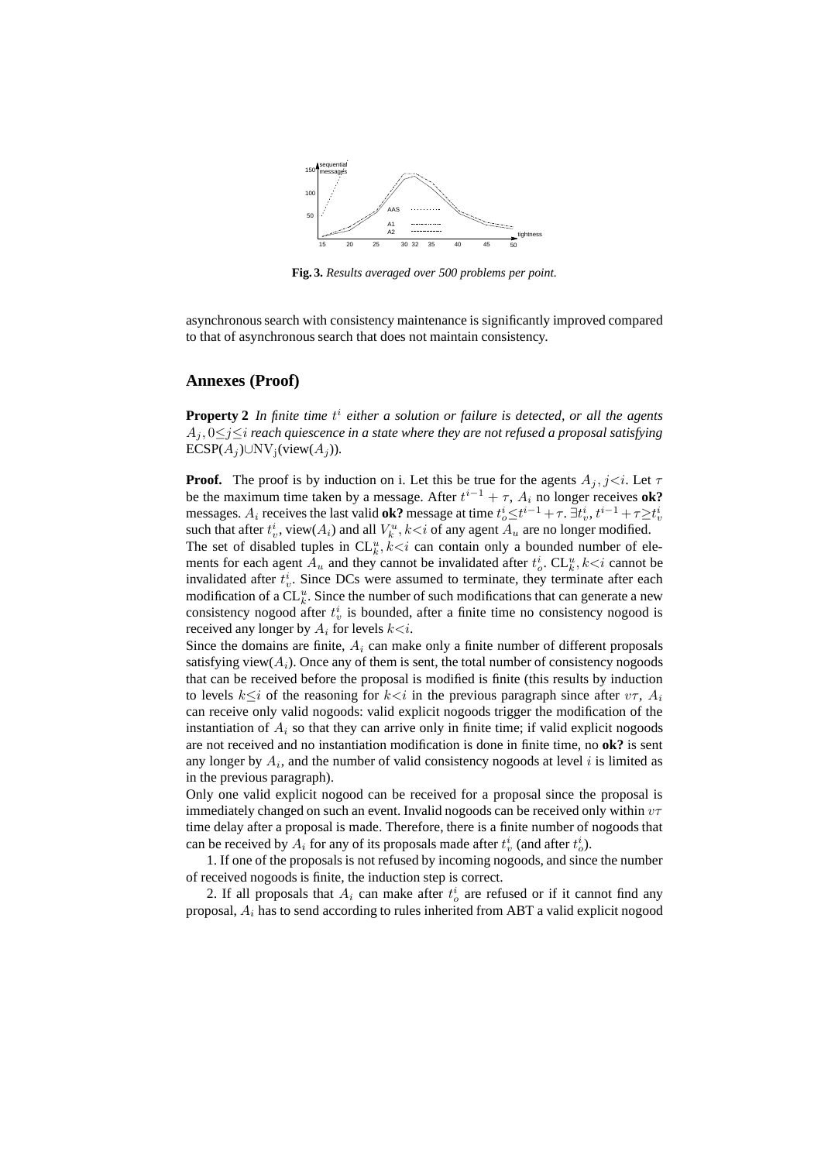

**Fig. 3.** *Results averaged over 500 problems per point.*

asynchronoussearch with consistency maintenance is significantly improved compared to that of asynchronous search that does not maintain consistency.

# **Annexes (Proof)**

**Property 2** In finite time  $t^i$  either a solution or failure is detected, or all the agents A<sup>j</sup> , 0≤j≤i *reach quiescence in a state where they are not refused a proposal satisfying*  $ECSP(A_i) \cup NV_i$ (view $(A_i)$ )*.* 

**Proof.** The proof is by induction on i. Let this be true for the agents  $A_j$ ,  $j \lt i$ . Let  $\tau$ be the maximum time taken by a message. After  $t^{i-1} + \tau$ ,  $A_i$  no longer receives **ok?** messages.  $A_i$  receives the last valid **ok?** message at time  $t_o^i{\le}t^{i-1}+\tau$ .  $\exists t_v^i,t^{i-1}+\tau{\ge}t_v^i$ such that after  $t_v^i$ , view $(A_i)$  and all  $V_k^u$ ,  $k \leq i$  of any agent  $A_u$  are no longer modified.

The set of disabled tuples in  $CL_k^u, k \lt i$  can contain only a bounded number of elements for each agent  $A_u$  and they cannot be invalidated after  $t_o^i$ .  $CL_k^u$ ,  $k \lt i$  cannot be invalidated after  $t_v^i$ . Since DCs were assumed to terminate, they terminate after each modification of a  $CL_k^u$ . Since the number of such modifications that can generate a new consistency nogood after  $t_v^i$  is bounded, after a finite time no consistency nogood is received any longer by  $A_i$  for levels  $k \lt i$ .

Since the domains are finite,  $A_i$  can make only a finite number of different proposals satisfying view( $A_i$ ). Once any of them is sent, the total number of consistency nogoods that can be received before the proposal is modified is finite (this results by induction to levels  $k \leq i$  of the reasoning for  $k \leq i$  in the previous paragraph since after  $v\tau$ ,  $A_i$ can receive only valid nogoods: valid explicit nogoods trigger the modification of the instantiation of  $A_i$  so that they can arrive only in finite time; if valid explicit nogoods are not received and no instantiation modification is done in finite time, no **ok?** is sent any longer by  $A_i$ , and the number of valid consistency nogoods at level i is limited as in the previous paragraph).

Only one valid explicit nogood can be received for a proposal since the proposal is immediately changed on such an event. Invalid nogoods can be received only within  $v\tau$ time delay after a proposal is made. Therefore, there is a finite number of nogoods that can be received by  $A_i$  for any of its proposals made after  $t_v^i$  (and after  $t_v^i$ ).

1. If one of the proposals is not refused by incoming nogoods, and since the number of received nogoods is finite, the induction step is correct.

2. If all proposals that  $A_i$  can make after  $t_o^i$  are refused or if it cannot find any proposal,  $A_i$  has to send according to rules inherited from ABT a valid explicit nogood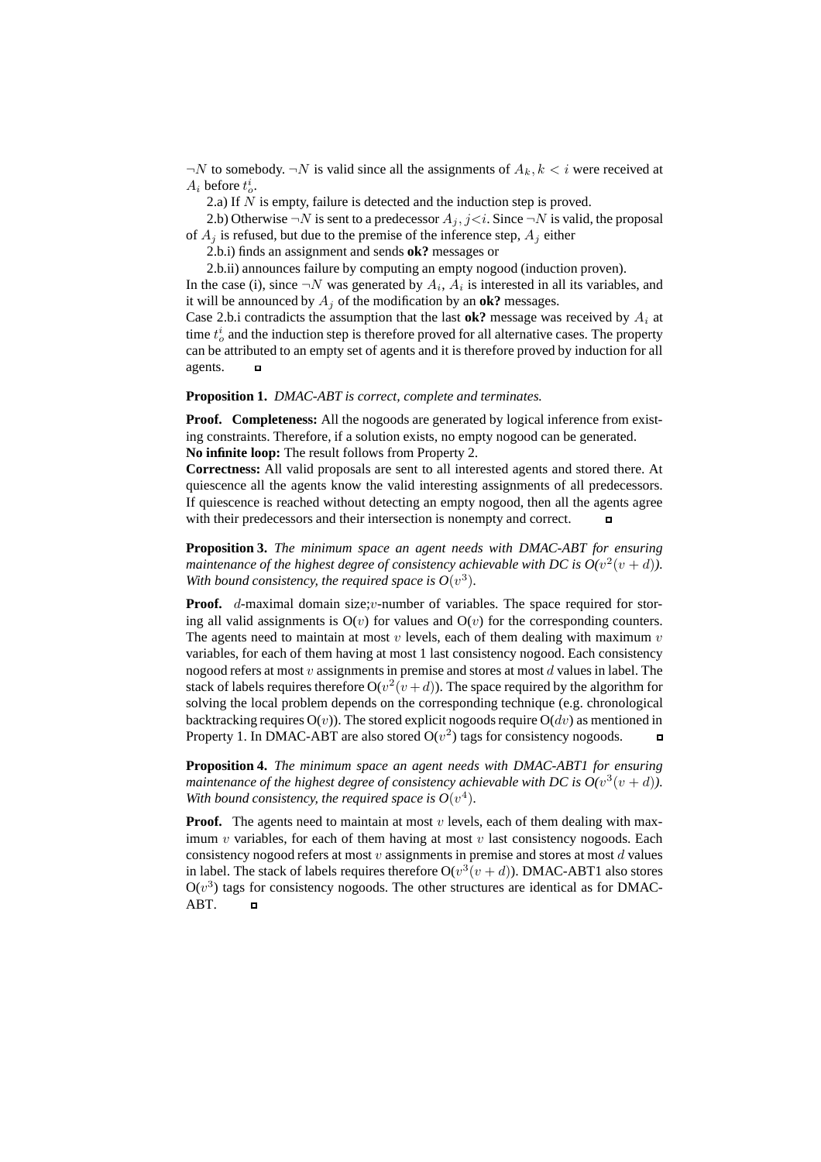$\neg N$  to somebody.  $\neg N$  is valid since all the assignments of  $A_k, k \leq i$  were received at  $A_i$  before  $t_o^i$ .

2.a) If N is empty, failure is detected and the induction step is proved.

2.b) Otherwise  $\neg N$  is sent to a predecessor  $A_j$ ,  $j \lt i$ . Since  $\neg N$  is valid, the proposal of  $A_i$  is refused, but due to the premise of the inference step,  $A_i$  either

2.b.i) finds an assignment and sends **ok?** messages or

2.b.ii) announces failure by computing an empty nogood (induction proven).

In the case (i), since  $\neg N$  was generated by  $A_i$ ,  $A_i$  is interested in all its variables, and it will be announced by  $A_i$  of the modification by an  $ok?$  messages.

Case 2.b.i contradicts the assumption that the last  $\alpha$ **k**? message was received by  $A_i$  at time  $t_o^i$  and the induction step is therefore proved for all alternative cases. The property can be attributed to an empty set of agents and it is therefore proved by induction for all agents. o

**Proposition 1.** *DMAC-ABT is correct, complete and terminates.*

**Proof.** Completeness: All the nogoods are generated by logical inference from existing constraints. Therefore, if a solution exists, no empty nogood can be generated. **No infinite loop:** The result follows from Property 2.

**Correctness:** All valid proposals are sent to all interested agents and stored there. At quiescence all the agents know the valid interesting assignments of all predecessors. If quiescence is reached without detecting an empty nogood, then all the agents agree with their predecessors and their intersection is nonempty and correct.

**Proposition 3.** *The minimum space an agent needs with DMAC-ABT for ensuring maintenance of the highest degree of consistency achievable with DC is*  $O(v^2(v+d))$ *. With bound consistency, the required space is*  $O(v^3)$ *.* 

**Proof.** d-maximal domain size:v-number of variables. The space required for storing all valid assignments is  $O(v)$  for values and  $O(v)$  for the corresponding counters. The agents need to maintain at most  $v$  levels, each of them dealing with maximum  $v$ variables, for each of them having at most 1 last consistency nogood. Each consistency nogood refers at most  $v$  assignments in premise and stores at most  $d$  values in label. The stack of labels requires therefore  $O(v^2(v+d))$ . The space required by the algorithm for solving the local problem depends on the corresponding technique (e.g. chronological backtracking requires  $O(v)$ ). The stored explicit nogoods require  $O(dv)$  as mentioned in Property 1. In DMAC-ABT are also stored  $O(v^2)$  tags for consistency nogoods.

**Proposition 4.** *The minimum space an agent needs with DMAC-ABT1 for ensuring maintenance of the highest degree of consistency achievable with DC is*  $O(v^3(v+d))$ *. With bound consistency, the required space is*  $O(v^4)$ *.* 

**Proof.** The agents need to maintain at most  $v$  levels, each of them dealing with maximum  $v$  variables, for each of them having at most  $v$  last consistency nogoods. Each consistency nogood refers at most  $v$  assignments in premise and stores at most  $d$  values in label. The stack of labels requires therefore  $O(v^3(v+d))$ . DMAC-ABT1 also stores  $O(v^3)$  tags for consistency nogoods. The other structures are identical as for DMAC-ABT. $\blacksquare$